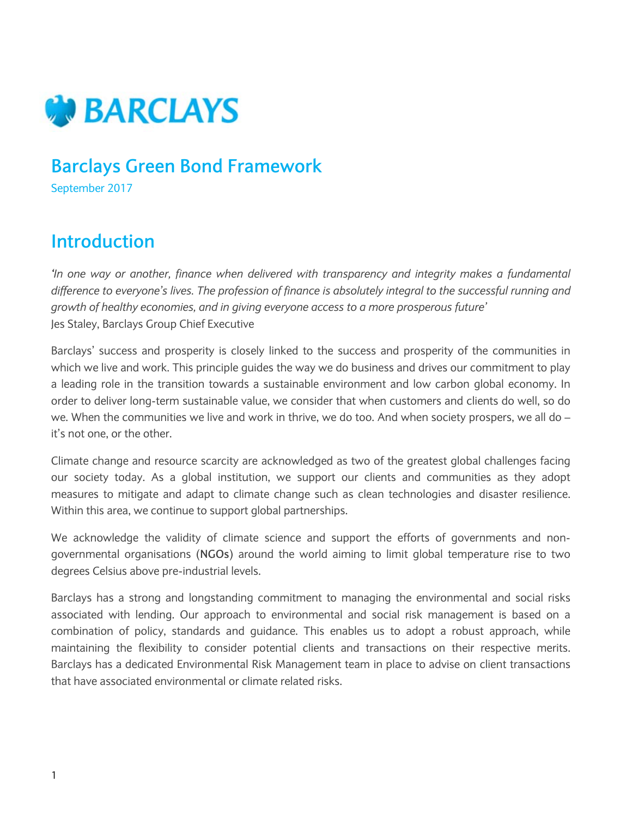

### **Barclays Green Bond Framework**

September 2017

#### **Introduction**

*'In one way or another, finance when delivered with transparency and integrity makes a fundamental difference to everyone's lives. The profession of finance is absolutely integral to the successful running and growth of healthy economies, and in giving everyone access to a more prosperous future'*  Jes Staley, Barclays Group Chief Executive

Barclays' success and prosperity is closely linked to the success and prosperity of the communities in which we live and work. This principle guides the way we do business and drives our commitment to play a leading role in the transition towards a sustainable environment and low carbon global economy. In order to deliver long-term sustainable value, we consider that when customers and clients do well, so do we. When the communities we live and work in thrive, we do too. And when society prospers, we all do – it's not one, or the other.

Climate change and resource scarcity are acknowledged as two of the greatest global challenges facing our society today. As a global institution, we support our clients and communities as they adopt measures to mitigate and adapt to climate change such as clean technologies and disaster resilience. Within this area, we continue to support global partnerships.

We acknowledge the validity of climate science and support the efforts of governments and nongovernmental organisations (**NGOs**) around the world aiming to limit global temperature rise to two degrees Celsius above pre-industrial levels.

Barclays has a strong and longstanding commitment to managing the environmental and social risks associated with lending. Our approach to environmental and social risk management is based on a combination of policy, standards and guidance. This enables us to adopt a robust approach, while maintaining the flexibility to consider potential clients and transactions on their respective merits. Barclays has a dedicated Environmental Risk Management team in place to advise on client transactions that have associated environmental or climate related risks.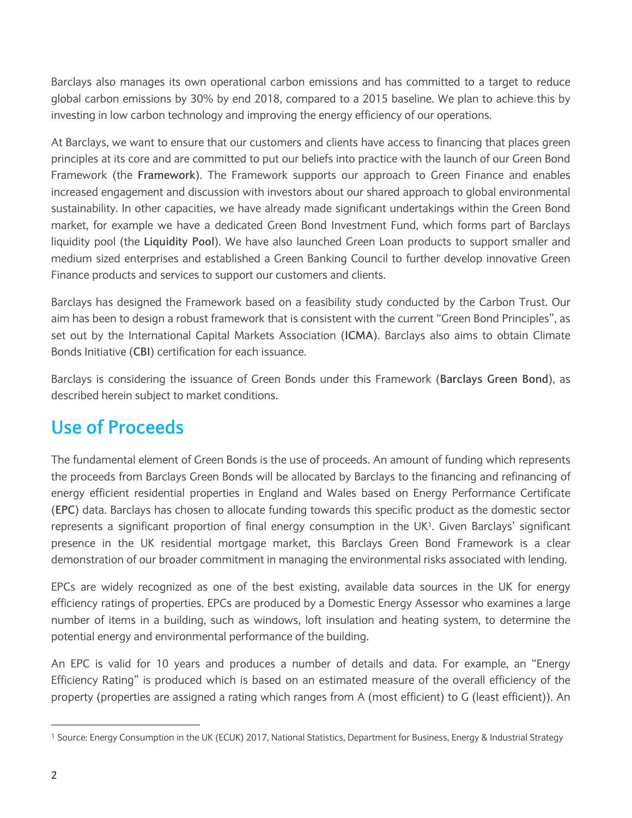Barclays also manages its own operational carbon emissions and has committed to a target to reduce global carbon emissions by 30% by end 2018, compared to a 2015 baseline. We plan to achieve this by investing in low carbon technology and improving the energy efficiency of our operations.

At Barclays, we want to ensure that our customers and clients have access to financing that places green principles at its core and are committed to put our beliefs into practice with the launch of our Green Bond Framework (the **Framework**). The Framework supports our approach to Green Finance and enables increased engagement and discussion with investors about our shared approach to global environmental sustainability. In other capacities, we have already made significant undertakings within the Green Bond market, for example we have a dedicated Green Bond Investment Fund, which forms part of Barclays liquidity pool (the **Liquidity Pool**). We have also launched Green Loan products to support smaller and medium sized enterprises and established a Green Banking Council to further develop innovative Green Finance products and services to support our customers and clients.

Barclays has designed the Framework based on a feasibility study conducted by the Carbon Trust. Our aim has been to design a robust framework that is consistent with the current "Green Bond Principles", as set out by the International Capital Markets Association (**ICMA**). Barclays also aims to obtain Climate Bonds Initiative (**CBI**) certification for each issuance.

Barclays is considering the issuance of Green Bonds under this Framework (**Barclays Green Bond**), as described herein subject to market conditions.

### **Use of Proceeds**

The fundamental element of Green Bonds is the use of proceeds. An amount of funding which represents the proceeds from Barclays Green Bonds will be allocated by Barclays to the financing and refinancing of energy efficient residential properties in England and Wales based on Energy Performance Certificate (**EPC**) data. Barclays has chosen to allocate funding towards this specific product as the domestic sector represents a significant proportion of final energy consumption in the UK<sup>1</sup>. Given Barclays' significant presence in the UK residential mortgage market, this Barclays Green Bond Framework is a clear demonstration of our broader commitment in managing the environmental risks associated with lending.

EPCs are widely recognized as one of the best existing, available data sources in the UK for energy efficiency ratings of properties. EPCs are produced by a Domestic Energy Assessor who examines a large number of items in a building, such as windows, loft insulation and heating system, to determine the potential energy and environmental performance of the building.

An EPC is valid for 10 years and produces a number of details and data. For example, an "Energy Efficiency Rating" is produced which is based on an estimated measure of the overall efficiency of the property (properties are assigned a rating which ranges from A (most efficient) to G (least efficient)). An

<sup>1</sup> Source: Energy Consumption in the UK (ECUK) 2017, National Statistics, Department for Business, Energy & Industrial Strategy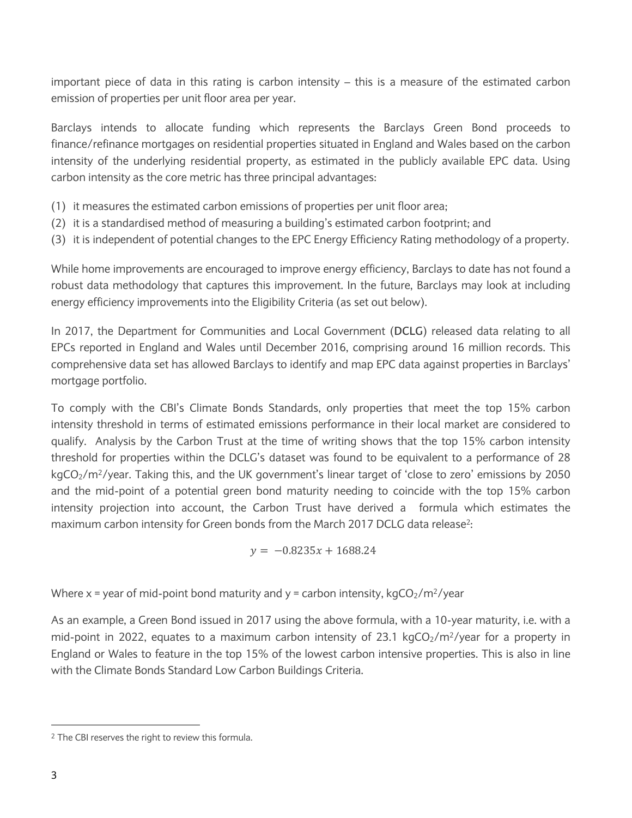important piece of data in this rating is carbon intensity – this is a measure of the estimated carbon emission of properties per unit floor area per year.

Barclays intends to allocate funding which represents the Barclays Green Bond proceeds to finance/refinance mortgages on residential properties situated in England and Wales based on the carbon intensity of the underlying residential property, as estimated in the publicly available EPC data. Using carbon intensity as the core metric has three principal advantages:

- (1) it measures the estimated carbon emissions of properties per unit floor area;
- (2) it is a standardised method of measuring a building's estimated carbon footprint; and
- (3) it is independent of potential changes to the EPC Energy Efficiency Rating methodology of a property.

While home improvements are encouraged to improve energy efficiency, Barclays to date has not found a robust data methodology that captures this improvement. In the future, Barclays may look at including energy efficiency improvements into the Eligibility Criteria (as set out below).

In 2017, the Department for Communities and Local Government (**DCLG**) released data relating to all EPCs reported in England and Wales until December 2016, comprising around 16 million records. This comprehensive data set has allowed Barclays to identify and map EPC data against properties in Barclays' mortgage portfolio.

To comply with the CBI's Climate Bonds Standards, only properties that meet the top 15% carbon intensity threshold in terms of estimated emissions performance in their local market are considered to qualify. Analysis by the Carbon Trust at the time of writing shows that the top 15% carbon intensity threshold for properties within the DCLG's dataset was found to be equivalent to a performance of 28  $kgCO<sub>2</sub>/m<sup>2</sup>/year$ . Taking this, and the UK government's linear target of 'close to zero' emissions by 2050 and the mid-point of a potential green bond maturity needing to coincide with the top 15% carbon intensity projection into account, the Carbon Trust have derived a formula which estimates the maximum carbon intensity for Green bonds from the March 2017 DCLG data release<sup>2</sup>:

 $y = -0.8235x + 1688.24$ 

Where x = year of mid-point bond maturity and y = carbon intensity,  $kgCO<sub>2</sub>/m<sup>2</sup>/year$ 

As an example, a Green Bond issued in 2017 using the above formula, with a 10-year maturity, i.e. with a mid-point in 2022, equates to a maximum carbon intensity of 23.1 kgCO<sub>2</sub>/m<sup>2</sup>/year for a property in England or Wales to feature in the top 15% of the lowest carbon intensive properties. This is also in line with the Climate Bonds Standard Low Carbon Buildings Criteria.

<sup>2</sup> The CBI reserves the right to review this formula.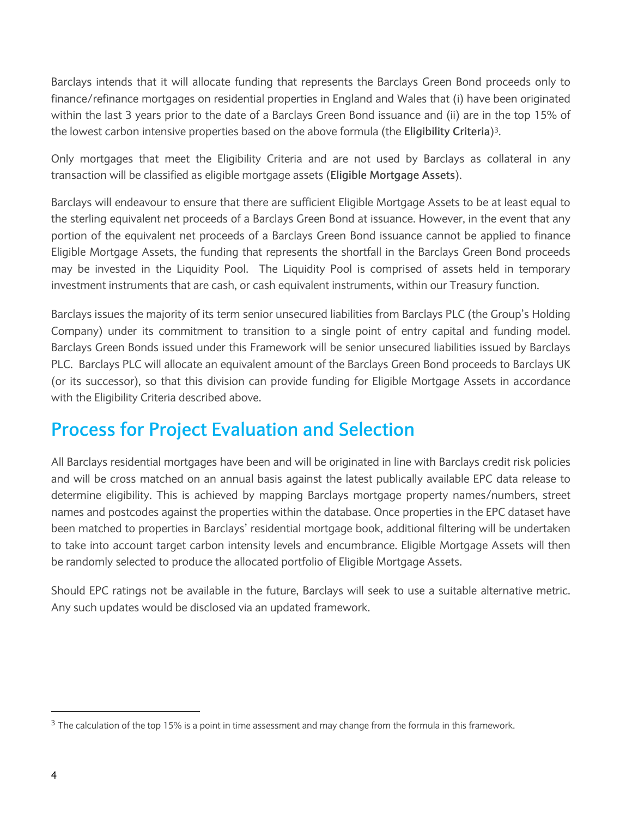Barclays intends that it will allocate funding that represents the Barclays Green Bond proceeds only to finance/refinance mortgages on residential properties in England and Wales that (i) have been originated within the last 3 years prior to the date of a Barclays Green Bond issuance and (ii) are in the top 15% of the lowest carbon intensive properties based on the above formula (the **Eligibility Criteria**)3.

Only mortgages that meet the Eligibility Criteria and are not used by Barclays as collateral in any transaction will be classified as eligible mortgage assets (**Eligible Mortgage Assets**).

Barclays will endeavour to ensure that there are sufficient Eligible Mortgage Assets to be at least equal to the sterling equivalent net proceeds of a Barclays Green Bond at issuance. However, in the event that any portion of the equivalent net proceeds of a Barclays Green Bond issuance cannot be applied to finance Eligible Mortgage Assets, the funding that represents the shortfall in the Barclays Green Bond proceeds may be invested in the Liquidity Pool. The Liquidity Pool is comprised of assets held in temporary investment instruments that are cash, or cash equivalent instruments, within our Treasury function.

Barclays issues the majority of its term senior unsecured liabilities from Barclays PLC (the Group's Holding Company) under its commitment to transition to a single point of entry capital and funding model. Barclays Green Bonds issued under this Framework will be senior unsecured liabilities issued by Barclays PLC. Barclays PLC will allocate an equivalent amount of the Barclays Green Bond proceeds to Barclays UK (or its successor), so that this division can provide funding for Eligible Mortgage Assets in accordance with the Eligibility Criteria described above.

## **Process for Project Evaluation and Selection**

All Barclays residential mortgages have been and will be originated in line with Barclays credit risk policies and will be cross matched on an annual basis against the latest publically available EPC data release to determine eligibility. This is achieved by mapping Barclays mortgage property names/numbers, street names and postcodes against the properties within the database. Once properties in the EPC dataset have been matched to properties in Barclays' residential mortgage book, additional filtering will be undertaken to take into account target carbon intensity levels and encumbrance. Eligible Mortgage Assets will then be randomly selected to produce the allocated portfolio of Eligible Mortgage Assets.

Should EPC ratings not be available in the future, Barclays will seek to use a suitable alternative metric. Any such updates would be disclosed via an updated framework.

<sup>&</sup>lt;sup>3</sup> The calculation of the top 15% is a point in time assessment and may change from the formula in this framework.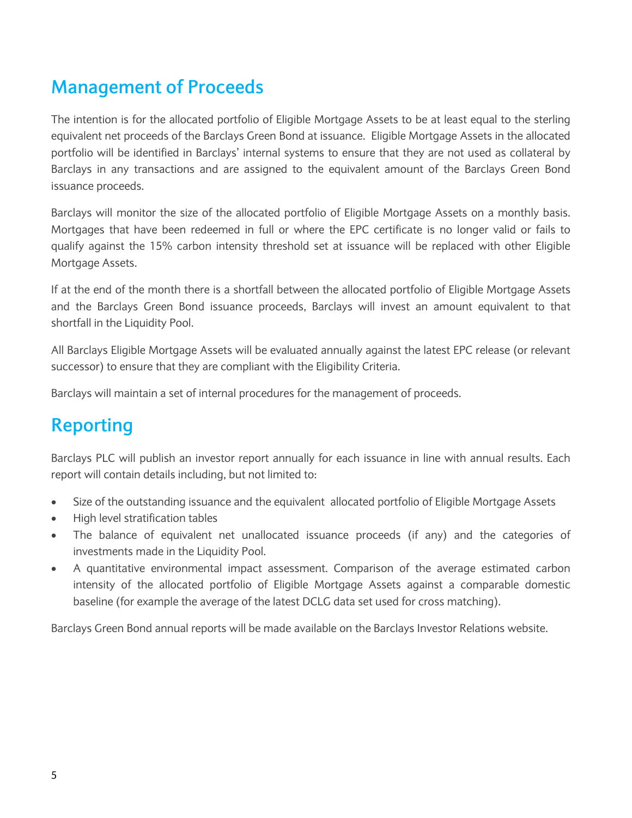## **Management of Proceeds**

The intention is for the allocated portfolio of Eligible Mortgage Assets to be at least equal to the sterling equivalent net proceeds of the Barclays Green Bond at issuance. Eligible Mortgage Assets in the allocated portfolio will be identified in Barclays' internal systems to ensure that they are not used as collateral by Barclays in any transactions and are assigned to the equivalent amount of the Barclays Green Bond issuance proceeds.

Barclays will monitor the size of the allocated portfolio of Eligible Mortgage Assets on a monthly basis. Mortgages that have been redeemed in full or where the EPC certificate is no longer valid or fails to qualify against the 15% carbon intensity threshold set at issuance will be replaced with other Eligible Mortgage Assets.

If at the end of the month there is a shortfall between the allocated portfolio of Eligible Mortgage Assets and the Barclays Green Bond issuance proceeds, Barclays will invest an amount equivalent to that shortfall in the Liquidity Pool.

All Barclays Eligible Mortgage Assets will be evaluated annually against the latest EPC release (or relevant successor) to ensure that they are compliant with the Eligibility Criteria.

Barclays will maintain a set of internal procedures for the management of proceeds.

## **Reporting**

Barclays PLC will publish an investor report annually for each issuance in line with annual results. Each report will contain details including, but not limited to:

- Size of the outstanding issuance and the equivalent allocated portfolio of Eligible Mortgage Assets
- High level stratification tables
- The balance of equivalent net unallocated issuance proceeds (if any) and the categories of investments made in the Liquidity Pool.
- A quantitative environmental impact assessment. Comparison of the average estimated carbon intensity of the allocated portfolio of Eligible Mortgage Assets against a comparable domestic baseline (for example the average of the latest DCLG data set used for cross matching).

Barclays Green Bond annual reports will be made available on the Barclays Investor Relations website.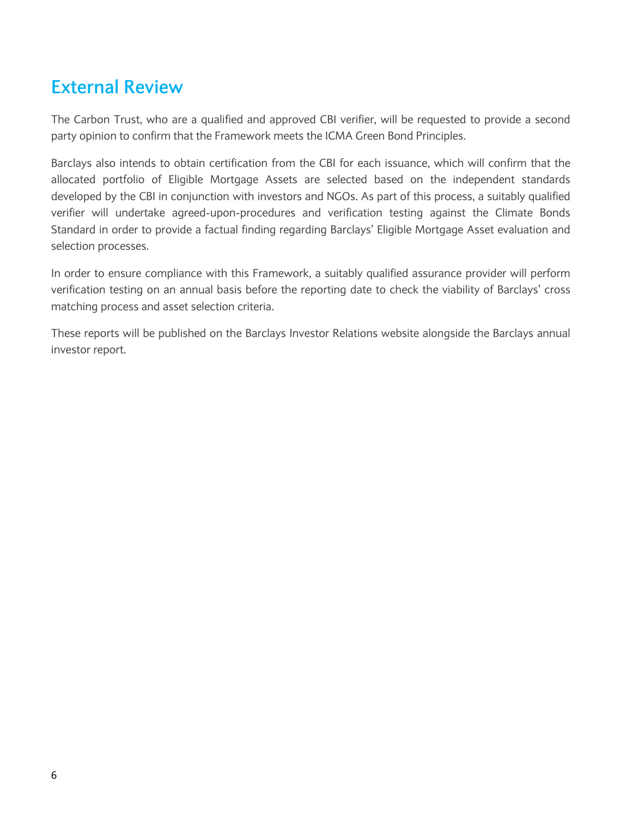## **External Review**

The Carbon Trust, who are a qualified and approved CBI verifier, will be requested to provide a second party opinion to confirm that the Framework meets the ICMA Green Bond Principles.

Barclays also intends to obtain certification from the CBI for each issuance, which will confirm that the allocated portfolio of Eligible Mortgage Assets are selected based on the independent standards developed by the CBI in conjunction with investors and NGOs. As part of this process, a suitably qualified verifier will undertake agreed-upon-procedures and verification testing against the Climate Bonds Standard in order to provide a factual finding regarding Barclays' Eligible Mortgage Asset evaluation and selection processes.

In order to ensure compliance with this Framework, a suitably qualified assurance provider will perform verification testing on an annual basis before the reporting date to check the viability of Barclays' cross matching process and asset selection criteria.

These reports will be published on the Barclays Investor Relations website alongside the Barclays annual investor report.